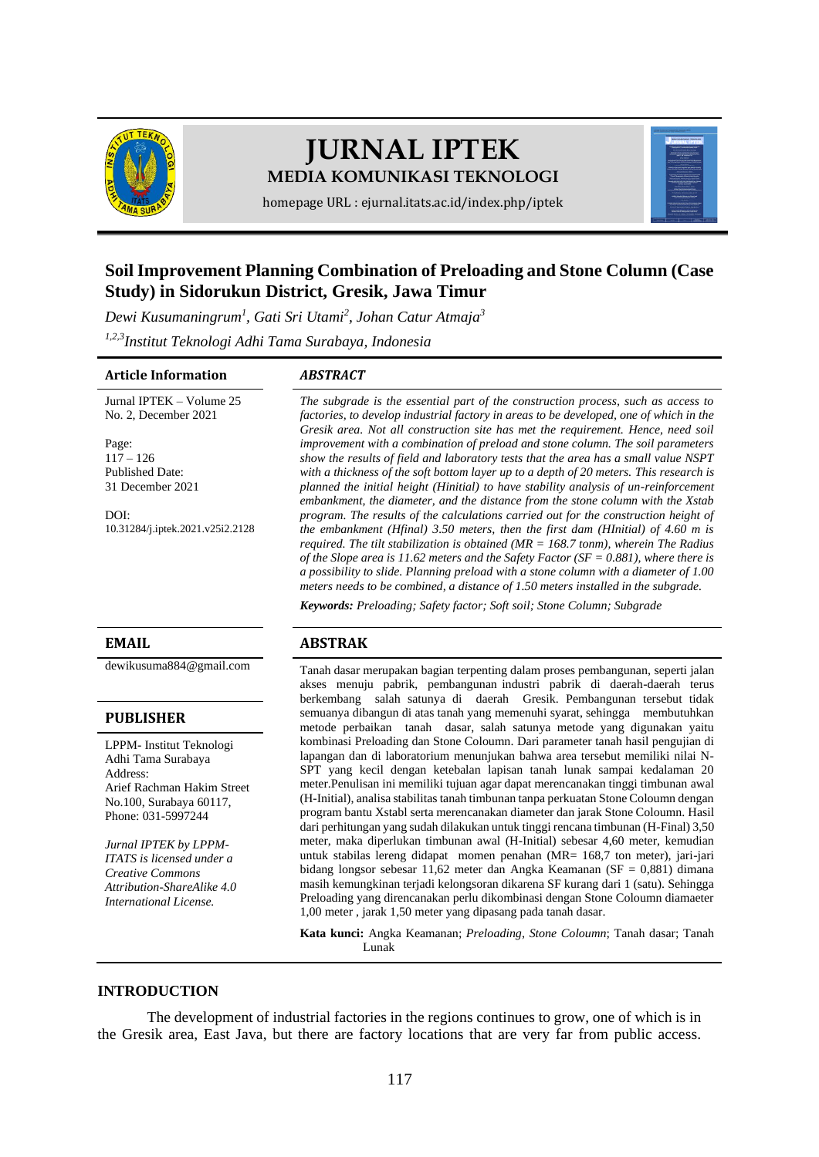

# **JURNAL IPTEK MEDIA KOMUNIKASI TEKNOLOGI**

homepage URL : ejurnal.itats.ac.id/index.php/iptek

# **Soil Improvement Planning Combination of Preloading and Stone Column (Case Study) in Sidorukun District, Gresik, Jawa Timur**

*Dewi Kusumaningrum<sup>1</sup> , Gati Sri Utami<sup>2</sup> , Johan Catur Atmaja<sup>3</sup>*

*1,2,3Institut Teknologi Adhi Tama Surabaya, Indonesia*

#### **Article Information** *ABSTRACT*

Jurnal IPTEK – Volume 25 No. 2, December 2021

Page: 117 – 126 Published Date: 31 December 2021

DOI: [10.31284/j.iptek.2021.v25i2.2128](https://doi.org/10.31284/j.iptek.2021.v25i2.2128)

#### **PUBLISHER**

LPPM- Institut Teknologi Adhi Tama Surabaya Address: Arief Rachman Hakim Street No.100, Surabaya 60117, Phone: 031-5997244

*Jurnal IPTEK by LPPM-ITATS is licensed under a Creative Commons Attribution-ShareAlike 4.0 International License.*

*The subgrade is the essential part of the construction process, such as access to factories, to develop industrial factory in areas to be developed, one of which in the Gresik area. Not all construction site has met the requirement. Hence, need soil improvement with a combination of preload and stone column. The soil parameters show the results of field and laboratory tests that the area has a small value NSPT with a thickness of the soft bottom layer up to a depth of 20 meters. This research is planned the initial height (Hinitial) to have stability analysis of un-reinforcement embankment, the diameter, and the distance from the stone column with the Xstab program. The results of the calculations carried out for the construction height of the embankment (Hfinal) 3.50 meters, then the first dam (HInitial) of 4.60 m is required. The tilt stabilization is obtained (MR = 168.7 tonm), wherein The Radius of the Slope area is 11.62 meters and the Safety Factor (SF = 0.881), where there is a possibility to slide. Planning preload with a stone column with a diameter of 1.00 meters needs to be combined, a distance of 1.50 meters installed in the subgrade.*

*Keywords: Preloading; Safety factor; Soft soil; Stone Column; Subgrade*

#### **EMAIL ABSTRAK**

[dewikusuma884@gmail.com](mailto:dewikusuma884@gmail.com) Tanah dasar merupakan bagian terpenting dalam proses pembangunan, seperti jalan akses menuju pabrik, pembangunan industri pabrik di daerah-daerah terus berkembang salah satunya di daerah Gresik. Pembangunan tersebut tidak semuanya dibangun di atas tanah yang memenuhi syarat, sehingga membutuhkan metode perbaikan tanah dasar, salah satunya metode yang digunakan yaitu kombinasi Preloading dan Stone Coloumn. Dari parameter tanah hasil pengujian di lapangan dan di laboratorium menunjukan bahwa area tersebut memiliki nilai N-SPT yang kecil dengan ketebalan lapisan tanah lunak sampai kedalaman 20 meter.Penulisan ini memiliki tujuan agar dapat merencanakan tinggi timbunan awal (H-Initial), analisa stabilitas tanah timbunan tanpa perkuatan Stone Coloumn dengan program bantu Xstabl serta merencanakan diameter dan jarak Stone Coloumn. Hasil dari perhitungan yang sudah dilakukan untuk tinggi rencana timbunan (H-Final) 3,50 meter, maka diperlukan timbunan awal (H-Initial) sebesar 4,60 meter, kemudian untuk stabilas lereng didapat momen penahan (MR= 168,7 ton meter), jari-jari bidang longsor sebesar 11,62 meter dan Angka Keamanan (SF = 0,881) dimana masih kemungkinan terjadi kelongsoran dikarena SF kurang dari 1 (satu). Sehingga Preloading yang direncanakan perlu dikombinasi dengan Stone Coloumn diamaeter 1,00 meter , jarak 1,50 meter yang dipasang pada tanah dasar.

> **Kata kunci:** Angka Keamanan; *Preloading*, *Stone Coloumn*; Tanah dasar; Tanah Lunak

### **INTRODUCTION**

The development of industrial factories in the regions continues to grow, one of which is in the Gresik area, East Java, but there are factory locations that are very far from public access.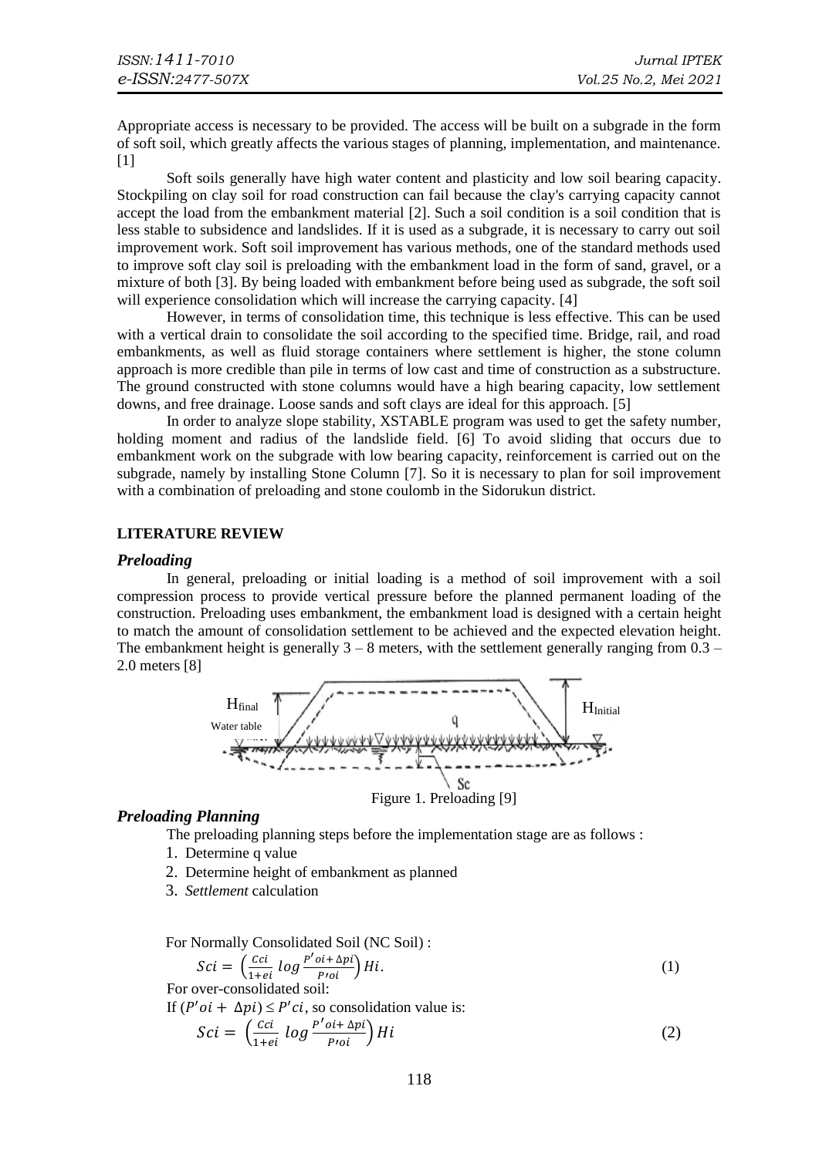Appropriate access is necessary to be provided. The access will be built on a subgrade in the form of soft soil, which greatly affects the various stages of planning, implementation, and maintenance.  $[1]$ 

Soft soils generally have high water content and plasticity and low soil bearing capacity. Stockpiling on clay soil for road construction can fail because the clay's carrying capacity cannot accept the load from the embankment material [2]. Such a soil condition is a soil condition that is less stable to subsidence and landslides. If it is used as a subgrade, it is necessary to carry out soil improvement work. Soft soil improvement has various methods, one of the standard methods used to improve soft clay soil is preloading with the embankment load in the form of sand, gravel, or a mixture of both [3]. By being loaded with embankment before being used as subgrade, the soft soil will experience consolidation which will increase the carrying capacity. [4]

However, in terms of consolidation time, this technique is less effective. This can be used with a vertical drain to consolidate the soil according to the specified time. Bridge, rail, and road embankments, as well as fluid storage containers where settlement is higher, the stone column approach is more credible than pile in terms of low cast and time of construction as a substructure. The ground constructed with stone columns would have a high bearing capacity, low settlement downs, and free drainage. Loose sands and soft clays are ideal for this approach. [5]

In order to analyze slope stability, XSTABLE program was used to get the safety number, holding moment and radius of the landslide field. [6] To avoid sliding that occurs due to embankment work on the subgrade with low bearing capacity, reinforcement is carried out on the subgrade, namely by installing Stone Column [7]. So it is necessary to plan for soil improvement with a combination of preloading and stone coulomb in the Sidorukun district.

### **LITERATURE REVIEW**

#### *Preloading*

In general, preloading or initial loading is a method of soil improvement with a soil compression process to provide vertical pressure before the planned permanent loading of the construction. Preloading uses embankment, the embankment load is designed with a certain height to match the amount of consolidation settlement to be achieved and the expected elevation height. The embankment height is generally  $3 - 8$  meters, with the settlement generally ranging from  $0.3 -$ 2.0 meters [8]



#### *Preloading Planning*

The preloading planning steps before the implementation stage are as follows :

- 1. Determine q value
- 2. Determine height of embankment as planned
- 3. *Settlement* calculation

For Normally Consolidated Soil (NC Soil) :

$$
Sci = \left(\frac{cci}{1+ei} \log \frac{P'o_i + \Delta pi}{Proi}\right) Hi. \tag{1}
$$

For over-consolidated soil:

If  $(P'oi + \Delta pi) \leq P'ci$ , so consolidation value is:

$$
Sci = \left(\frac{cci}{1+ei} \log \frac{P'oi + \Delta pi}{Proi}\right) Hi
$$
 (2)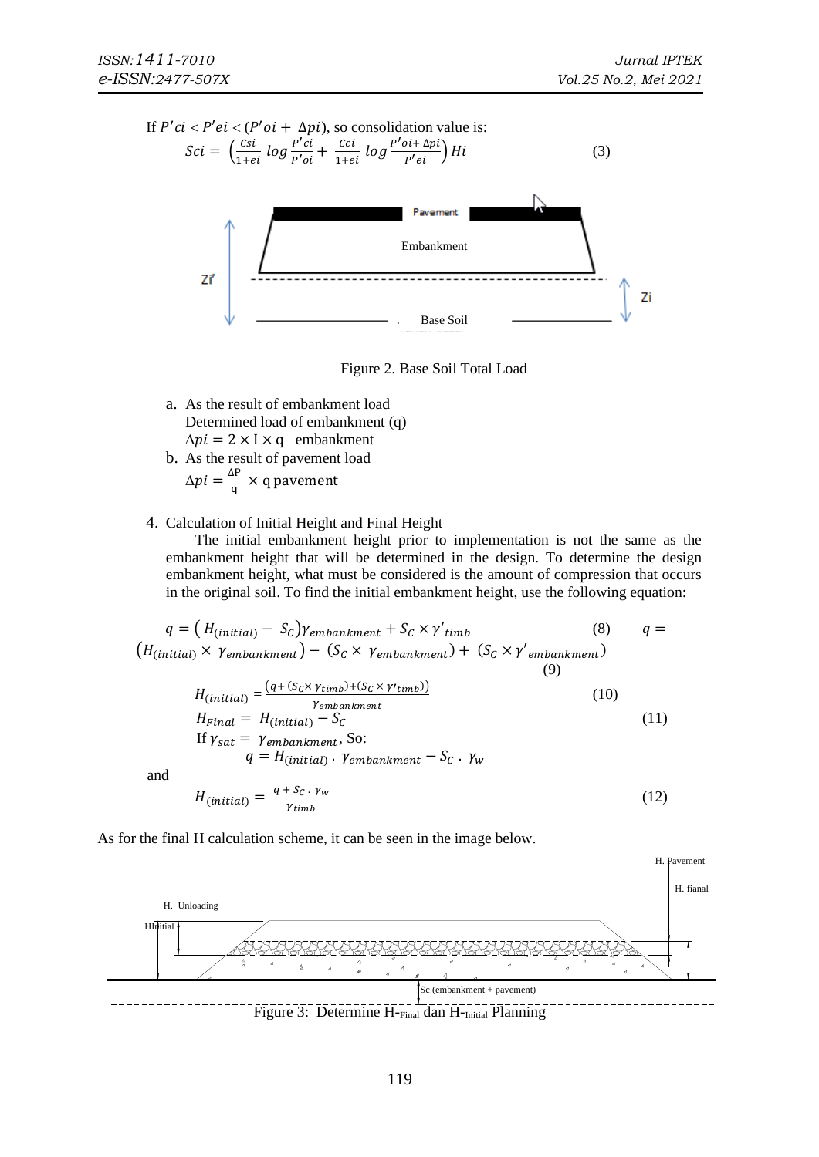H. Pavement



Figure 2. Base Soil Total Load

- a. As the result of embankment load Determined load of embankment (q)  $\Delta pi = 2 \times I \times q$  embankment
- b. As the result of pavement load  $\Delta pi = \frac{\Delta P}{a}$  $\frac{d}{q}$  × q pavement
- 4. Calculation of Initial Height and Final Height

The initial embankment height prior to implementation is not the same as the embankment height that will be determined in the design. To determine the design embankment height, what must be considered is the amount of compression that occurs in the original soil. To find the initial embankment height, use the following equation:

$$
q = (H_{(initial)} - S_c) \gamma_{embankment} + S_c \times \gamma'_{timb}
$$
(8)  $q = (H_{(initial)} \times \gamma_{embankment}) - (S_c \times \gamma_{embankment}) + (S_c \times \gamma'_{embankment})$ (9)  
\n
$$
H_{(initial)} = \frac{(q + (S_c \times \gamma_{timb}) + (S_c \times \gamma'_{timb}))}{\gamma_{embankment}}
$$
(10)  
\n
$$
H_{final} = H_{(initial)} - S_c
$$
(11)  
\nIf  $\gamma_{sat} = \gamma_{embankment}$ , So:  
\n $q = H_{(initial)} \cdot \gamma_{embankment} - S_c \cdot \gamma_w$   
\nand  
\n
$$
H_{(initial)} = \frac{q + S_c \cdot \gamma_w}{\gamma_{tot}} \qquad (12)
$$

and

$$
H_{(initial)} = \frac{q + S_C \cdot \gamma_w}{\gamma_{timb}} \tag{11}
$$

As for the final H calculation scheme, it can be seen in the image below.

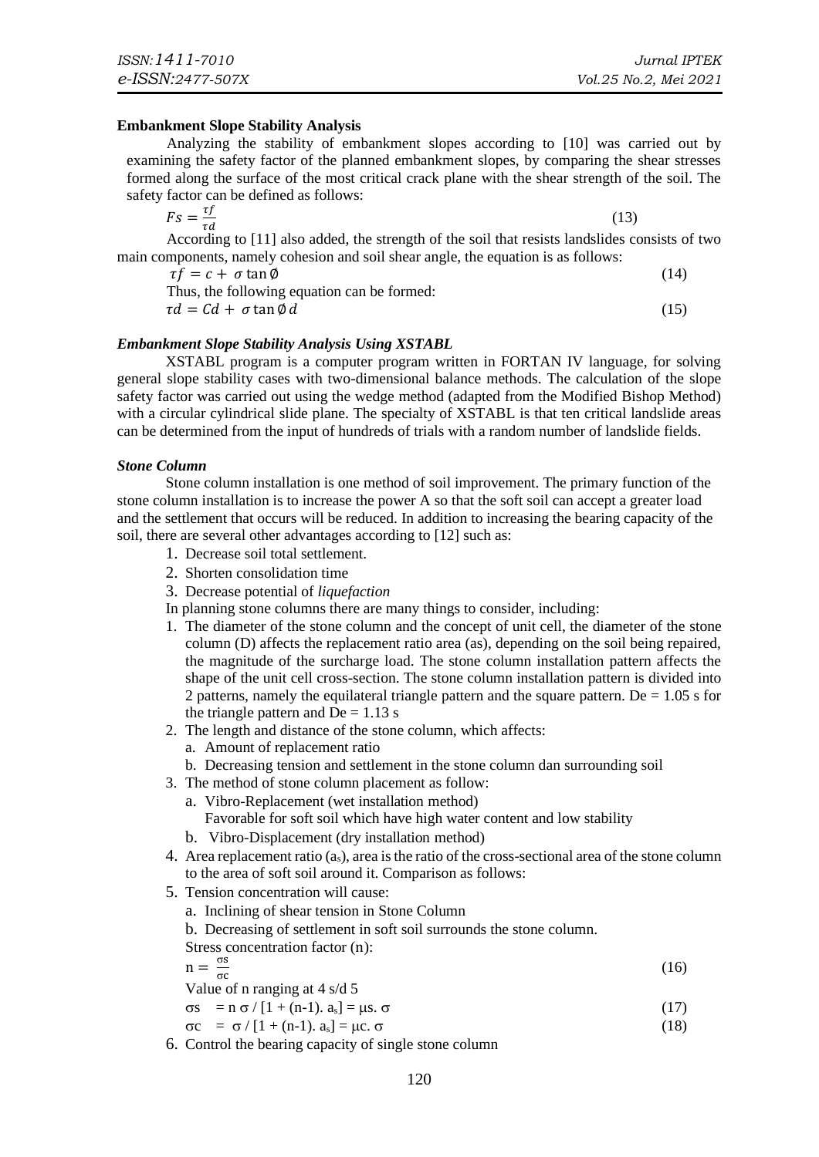#### **Embankment Slope Stability Analysis**

Analyzing the stability of embankment slopes according to [10] was carried out by examining the safety factor of the planned embankment slopes, by comparing the shear stresses formed along the surface of the most critical crack plane with the shear strength of the soil. The safety factor can be defined as follows:

 $Fs = \frac{tf}{sd}$  $\tau d$ (13)

According to [11] also added, the strength of the soil that resists landslides consists of two main components, namely cohesion and soil shear angle, the equation is as follows:

 $\tau f = c + \sigma \tan \phi$  (14)

Thus, the following equation can be formed:  $\tau d = C d + \sigma \tan \phi d$  (15)

$$
\tau d = C d + \sigma \tan \varphi d
$$

### *Embankment Slope Stability Analysis Using XSTABL*

XSTABL program is a computer program written in FORTAN IV language, for solving general slope stability cases with two-dimensional balance methods. The calculation of the slope safety factor was carried out using the wedge method (adapted from the Modified Bishop Method) with a circular cylindrical slide plane. The specialty of XSTABL is that ten critical landslide areas can be determined from the input of hundreds of trials with a random number of landslide fields.

#### *Stone Column*

Stone column installation is one method of soil improvement. The primary function of the stone column installation is to increase the power A so that the soft soil can accept a greater load and the settlement that occurs will be reduced. In addition to increasing the bearing capacity of the soil, there are several other advantages according to [12] such as:

- 1. Decrease soil total settlement.
- 2. Shorten consolidation time
- 3. Decrease potential of *liquefaction*

In planning stone columns there are many things to consider, including:

- 1. The diameter of the stone column and the concept of unit cell, the diameter of the stone column (D) affects the replacement ratio area (as), depending on the soil being repaired, the magnitude of the surcharge load. The stone column installation pattern affects the shape of the unit cell cross-section. The stone column installation pattern is divided into 2 patterns, namely the equilateral triangle pattern and the square pattern. De  $= 1.05$  s for the triangle pattern and  $De = 1.13$  s
- 2. The length and distance of the stone column, which affects:
	- a. Amount of replacement ratio
- b. Decreasing tension and settlement in the stone column dan surrounding soil
- 3. The method of stone column placement as follow:
	- a. Vibro-Replacement (wet installation method)
	- Favorable for soft soil which have high water content and low stability
	- b. Vibro-Displacement (dry installation method)
- 4. Area replacement ratio  $(a_s)$ , area is the ratio of the cross-sectional area of the stone column to the area of soft soil around it. Comparison as follows:
- 5. Tension concentration will cause:
	- a. Inclining of shear tension in Stone Column
	- b. Decreasing of settlement in soft soil surrounds the stone column.

Stress concentration factor (n):

$$
n = \frac{\sigma s}{\sigma c} \tag{16}
$$

Value of n ranging at 4 s/d 5  $\sigma s = n \sigma / [1 + (n-1) \cdot a_s] = \mu s \cdot \sigma$  (17)

$$
\sigma c = \sigma / [1 + (n-1) \cdot a_s] = \mu c \cdot \sigma \tag{18}
$$

6. Control the bearing capacity of single stone column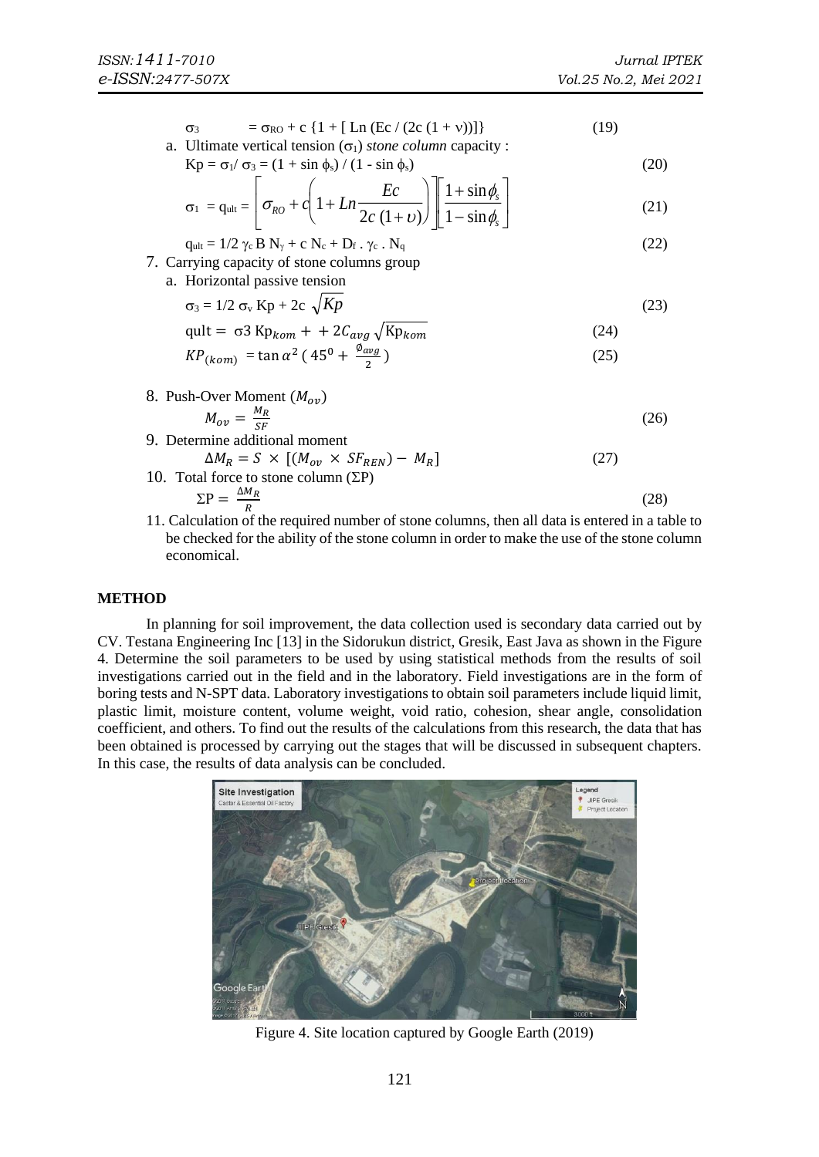$$
\sigma_3 = \sigma_{R0} + c \left\{ 1 + [\text{Ln} (\text{Ec} / (2c (1 + v)))] \right\}
$$
 (19)

a. Ultimate vertical tension  $(\sigma_1)$  *stone column* capacity :

$$
Kp = \sigma_1 / \sigma_3 = (1 + \sin \phi_s) / (1 - \sin \phi_s)
$$
 (20)

$$
\sigma_1 = q_{ult} = \left[ \sigma_{RO} + c \left( 1 + Ln \frac{Ec}{2c (1 + v)} \right) \right] \left[ \frac{1 + \sin \phi_s}{1 - \sin \phi_s} \right]
$$
(21)

$$
q_{ult} = 1/2 \gamma_c B N_{\gamma} + c N_c + D_f . \gamma_c . N_q
$$
\n
$$
7. Carrying capacity of stone columns group
$$
\n(22)

a. Horizontal passive tension

$$
\sigma_3 = 1/2 \sigma_v Kp + 2c \sqrt{Kp}
$$
 (23)

$$
qult = \sigma 3 K p_{kom} + + 2C_{avg} \sqrt{K p_{kom}}
$$
\n
$$
K P_{(kom)} = \tan \alpha^2 (45^0 + \frac{\phi_{avg}}{2})
$$
\n(25)

- 8. Push-Over Moment  $(M_{ov})$  $M_{ov}=\frac{M_R}{SE}$ SF (26)
- 9. Determine additional moment  $\Delta M_R = S \times [(M_{ov} \times SF_{REN}) - M_R]$  $(27)$ 10. Total force to stone column  $(\Sigma P)$

$$
\Sigma P = \frac{\Delta M_R}{R}
$$
 (28)

11. Calculation of the required number of stone columns, then all data is entered in a table to be checked for the ability of the stone column in order to make the use of the stone column economical.

# **METHOD**

In planning for soil improvement, the data collection used is secondary data carried out by CV. Testana Engineering Inc [13] in the Sidorukun district, Gresik, East Java as shown in the Figure 4. Determine the soil parameters to be used by using statistical methods from the results of soil investigations carried out in the field and in the laboratory. Field investigations are in the form of boring tests and N-SPT data. Laboratory investigations to obtain soil parameters include liquid limit, plastic limit, moisture content, volume weight, void ratio, cohesion, shear angle, consolidation coefficient, and others. To find out the results of the calculations from this research, the data that has been obtained is processed by carrying out the stages that will be discussed in subsequent chapters. In this case, the results of data analysis can be concluded.



Figure 4. Site location captured by Google Earth (2019)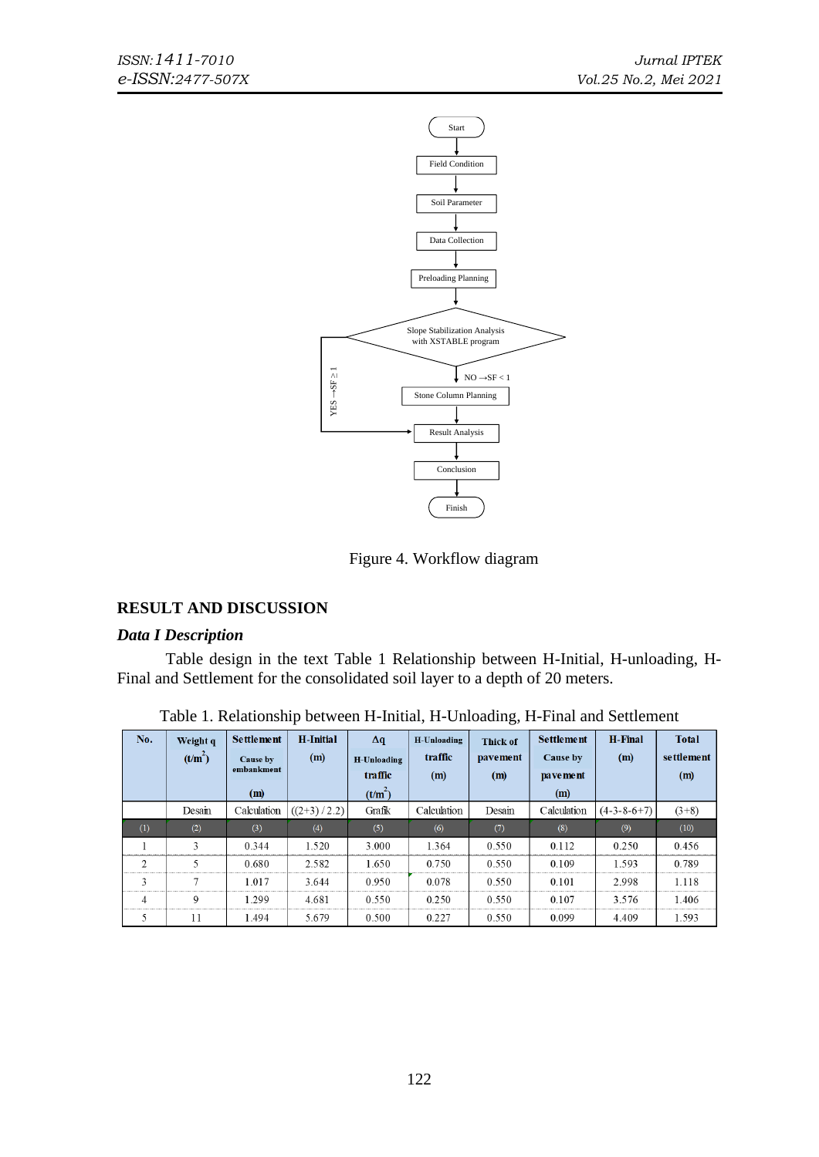

Figure 4. Workflow diagram

# **RESULT AND DISCUSSION**

# *Data I Description*

Table design in the text Table 1 Relationship between H-Initial, H-unloading, H-Final and Settlement for the consolidated soil layer to a depth of 20 meters.

| No.            | Weight q            | <b>Settlement</b> | <b>H</b> -Initial | $\Delta q$     | H-Unloading | <b>Thick of</b> | <b>Settlement</b> | <b>H-Final</b> | <b>Total</b> |
|----------------|---------------------|-------------------|-------------------|----------------|-------------|-----------------|-------------------|----------------|--------------|
|                | (t/m <sup>2</sup> ) | Cause by          | (m)               | H-Unloading    | traffic     | pavement        | Cause by          | (m)            | settlement   |
|                |                     | embankment        |                   | <b>traffic</b> | (m)         | (m)             | pa ve me nt       |                | (m)          |
|                |                     | (m)               |                   | $(t/m^2)$      |             |                 | (m)               |                |              |
|                | Desain              | Calculation       | $((2+3)/2.2)$     | Grafik         | Calculation | Desain          | Calculation       | $(4-3-8-6+7)$  | $(3+8)$      |
| (1)            | (2)                 | (3)               | (4)               | (5)            | (6)         | (7)             | (8)               | (9)            | (10)         |
|                | 3                   | 0.344             | 1.520             | 3.000          | 1.364       | 0.550           | 0.112             | 0.250          | 0.456        |
| $\overline{2}$ | 5                   | 0.680             | 2.582             | 1.650          | 0.750       | 0.550           | 0.109             | 1.593          | 0.789        |
| 3              | $\overline{7}$      | 1.017             | 3.644             | 0.950          | 0.078       | 0.550           | 0.101             | 2.998          | 1.118        |
| 4              | 9                   | 1.299             | 4.681             | 0.550          | 0.250       | 0.550           | 0.107             | 3.576          | 1.406        |
| 5              | 11                  | 1.494             | 5.679             | 0.500          | 0.227       | 0.550           | 0.099             | 4.409          | 1.593        |

Table 1. Relationship between H-Initial, H-Unloading, H-Final and Settlement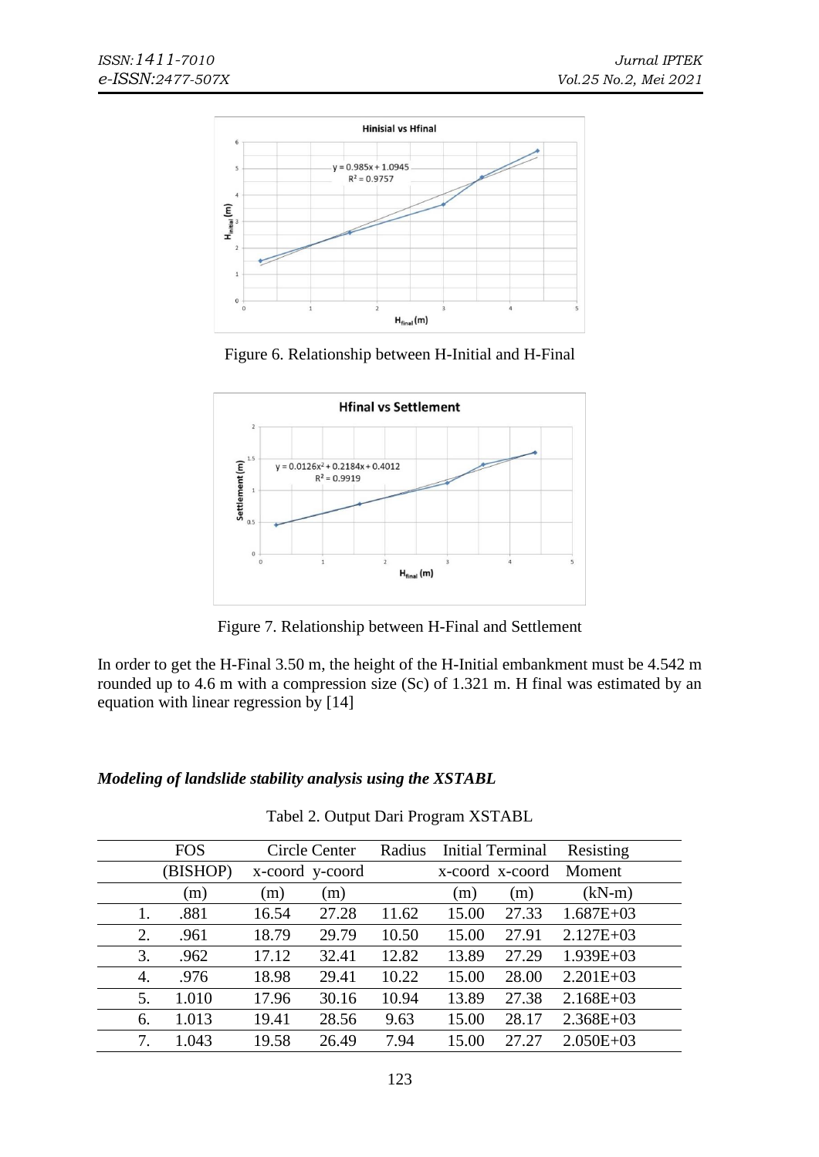

Figure 6. Relationship between H-Initial and H-Final



Figure 7. Relationship between H-Final and Settlement

In order to get the H-Final 3.50 m, the height of the H-Initial embankment must be 4.542 m rounded up to 4.6 m with a compression size (Sc) of 1.321 m. H final was estimated by an equation with linear regression by [14]

# *Modeling of landslide stability analysis using the XSTABL*

|    | <b>FOS</b> | Circle Center   |       | Radius | <b>Initial Terminal</b> |       | Resisting     |
|----|------------|-----------------|-------|--------|-------------------------|-------|---------------|
|    | (BISHOP)   | x-coord y-coord |       |        | x-coord x-coord         |       | Moment        |
|    | (m)        | (m)             | (m)   |        | (m)                     | (m)   | $(kN-m)$      |
| 1. | .881       | 16.54           | 27.28 | 11.62  | 15.00                   | 27.33 | $1.687E + 03$ |
| 2. | .961       | 18.79           | 29.79 | 10.50  | 15.00                   | 27.91 | $2.127E+03$   |
| 3. | .962       | 17.12           | 32.41 | 12.82  | 13.89                   | 27.29 | $1.939E+03$   |
| 4. | .976       | 18.98           | 29.41 | 10.22  | 15.00                   | 28.00 | $2.201E+03$   |
| 5. | 1.010      | 17.96           | 30.16 | 10.94  | 13.89                   | 27.38 | $2.168E + 03$ |
| 6. | 1.013      | 19.41           | 28.56 | 9.63   | 15.00                   | 28.17 | $2.368E + 03$ |
| 7. | 1.043      | 19.58           | 26.49 | 7.94   | 15.00                   | 27.27 | $2.050E + 03$ |

Tabel 2. Output Dari Program XSTABL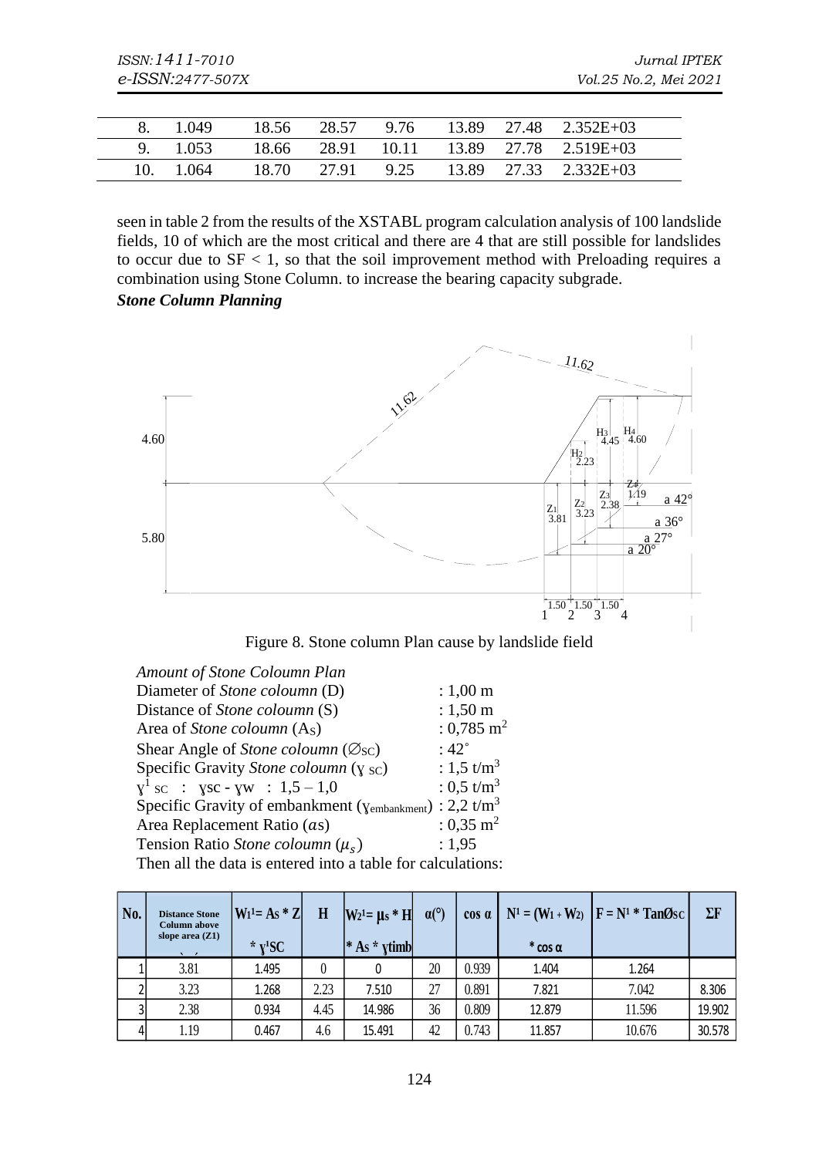|  | 1.049   | 18.56 | 28.57 |      |  | $9.76$ 13.89 27.48 2.352E+03      |  |
|--|---------|-------|-------|------|--|-----------------------------------|--|
|  | 1.053   | 18.66 |       |      |  | 28.91 10.11 13.89 27.78 2.519E+03 |  |
|  | - 1.064 | 18.70 | 27.91 | 9.25 |  | $13.89$ $27.33$ $2.332E+03$       |  |

seen in table 2 from the results of the XSTABL program calculation analysis of 100 landslide fields, 10 of which are the most critical and there are 4 that are still possible for landslides to occur due to  $SF < 1$ , so that the soil improvement method with Preloading requires a combination using Stone Column. to increase the bearing capacity subgrade. *Stone Column Planning*



Figure 8. Stone column Plan cause by landslide field

| Amount of Stone Coloumn Plan                                                           |                           |
|----------------------------------------------------------------------------------------|---------------------------|
| Diameter of Stone coloumn (D)                                                          | $: 1,00 \; \text{m}$      |
| Distance of <i>Stone coloumn</i> (S)                                                   | $: 1,50 \text{ m}$        |
| Area of <i>Stone coloumn</i> (A <sub>S</sub> )                                         | $: 0.785 \; \mathrm{m}^2$ |
| Shear Angle of Stone coloumn ( $\varnothing$ <sub>SC</sub> )                           | $:42^{\circ}$             |
| Specific Gravity Stone coloumn $(y_{SC})$                                              | : 1,5 $t/m^3$             |
| $X^1$ sc : $Y$ sc - $YW$ : 1,5 - 1,0                                                   | : 0,5 t/m <sup>3</sup>    |
| Specific Gravity of embankment ( $\gamma_{\text{embankment}}$ ) : 2,2 t/m <sup>3</sup> |                           |
| Area Replacement Ratio (as)                                                            | $: 0.35 \; \mathrm{m}^2$  |
| Tension Ratio Stone coloumn $(\mu_s)$                                                  | : 1,95                    |
| Then all the data is entered into a table for calculations:                            |                           |

| No. | <b>Distance Stone</b><br><b>Column above</b><br>slope area $(Z1)$ | $W_1^1 = As * Z$<br>* $Y^1SC$ | H    | $ W_2  = \mu_s * H$<br>$ * As * xtimb $ | $\alpha$ <sup>(<math>\circ</math></sup> ) | $\cos \alpha$ | $^*$ cos $\alpha$ | $N^1 = (W_1 + W_2)$ $F = N^1 * TanØsC$ | $\Sigma$ F |
|-----|-------------------------------------------------------------------|-------------------------------|------|-----------------------------------------|-------------------------------------------|---------------|-------------------|----------------------------------------|------------|
|     | 3.81                                                              | 1.495                         |      |                                         | 20                                        | 0.939         | 1.404             | 1.264                                  |            |
|     | 3.23                                                              | 1.268                         | 2.23 | 7.510                                   | 27                                        | 0.891         | 7.821             | 7.042                                  | 8.306      |
|     | 2.38                                                              | 0.934                         | 4.45 | 14.986                                  | 36                                        | 0.809         | 12.879            | 11.596                                 | 19.902     |
|     | 1.19                                                              | 0.467                         | 4.6  | 15.491                                  | 42                                        | 0.743         | 11.857            | 10.676                                 | 30.578     |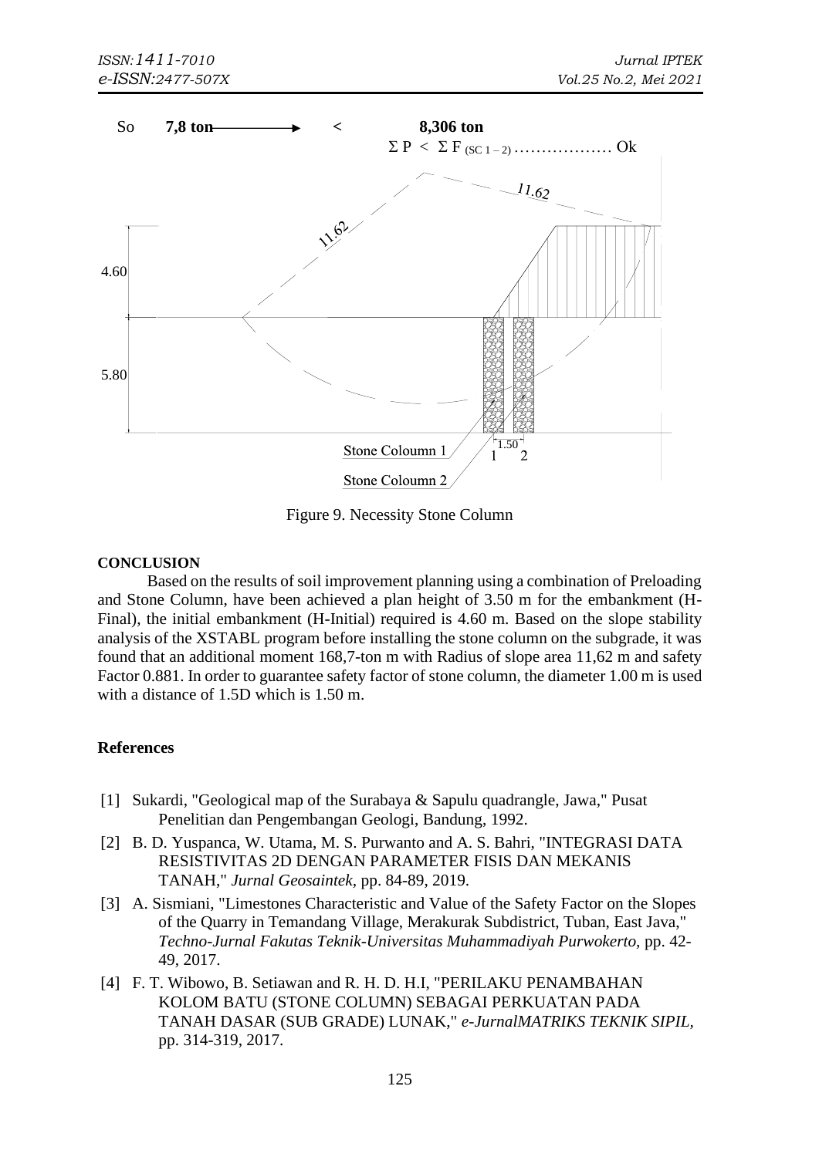

Figure 9. Necessity Stone Column

# **CONCLUSION**

Based on the results of soil improvement planning using a combination of Preloading and Stone Column, have been achieved a plan height of 3.50 m for the embankment (H-Final), the initial embankment (H-Initial) required is 4.60 m. Based on the slope stability analysis of the XSTABL program before installing the stone column on the subgrade, it was found that an additional moment 168,7-ton m with Radius of slope area 11,62 m and safety Factor 0.881. In order to guarantee safety factor of stone column, the diameter 1.00 m is used with a distance of 1.5D which is 1.50 m.

# **References**

- [1] Sukardi, "Geological map of the Surabaya & Sapulu quadrangle, Jawa," Pusat Penelitian dan Pengembangan Geologi, Bandung, 1992.
- [2] B. D. Yuspanca, W. Utama, M. S. Purwanto and A. S. Bahri, "INTEGRASI DATA RESISTIVITAS 2D DENGAN PARAMETER FISIS DAN MEKANIS TANAH," *Jurnal Geosaintek,* pp. 84-89, 2019.
- [3] A. Sismiani, "Limestones Characteristic and Value of the Safety Factor on the Slopes of the Quarry in Temandang Village, Merakurak Subdistrict, Tuban, East Java," *Techno-Jurnal Fakutas Teknik-Universitas Muhammadiyah Purwokerto,* pp. 42- 49, 2017.
- [4] F. T. Wibowo, B. Setiawan and R. H. D. H.I, "PERILAKU PENAMBAHAN KOLOM BATU (STONE COLUMN) SEBAGAI PERKUATAN PADA TANAH DASAR (SUB GRADE) LUNAK," *e-JurnalMATRIKS TEKNIK SIPIL,*  pp. 314-319, 2017.